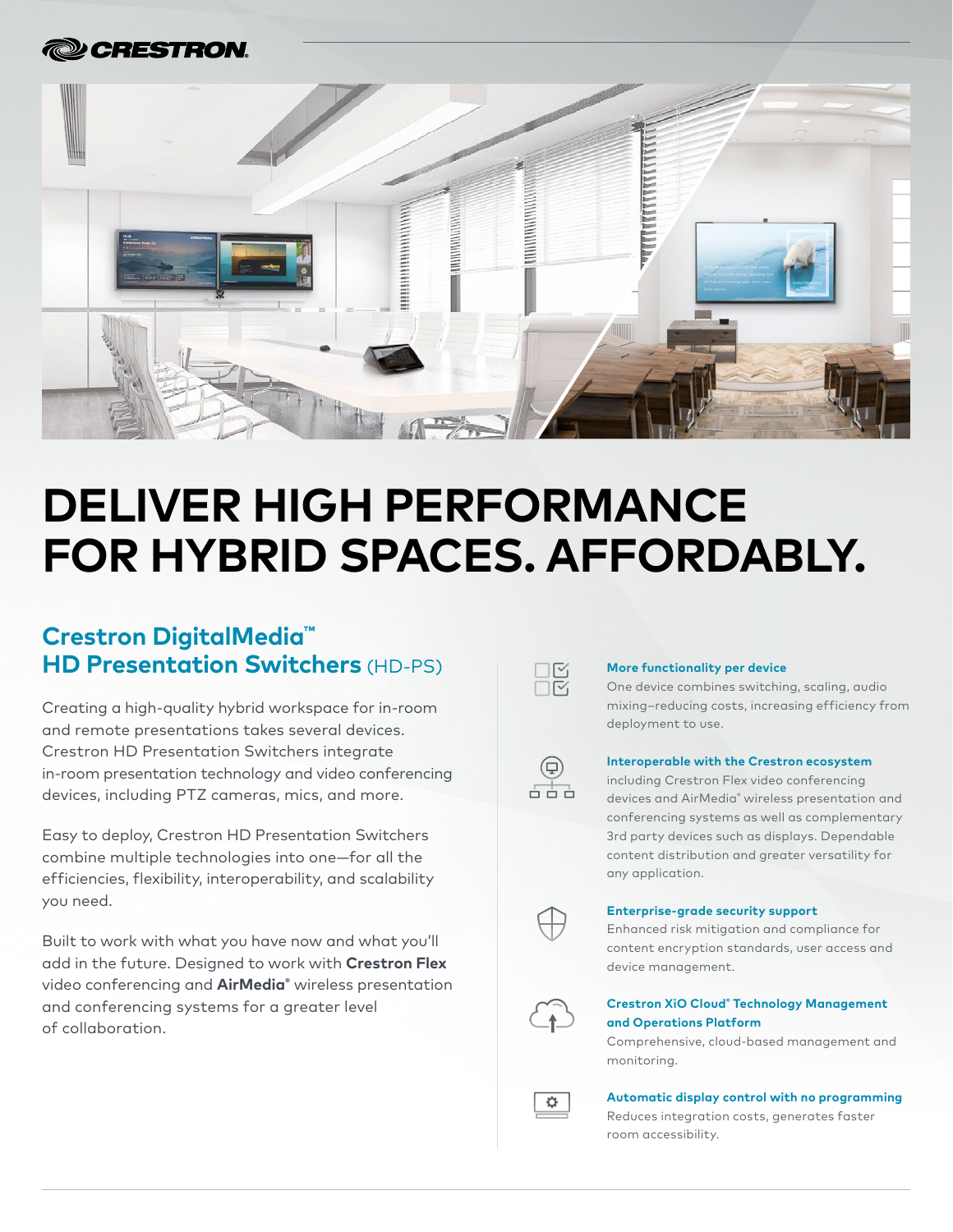

# **DELIVER HIGH PERFORMANCE FOR HYBRID SPACES. AFFORDABLY.**

## **Crestron DigitalMedia™ HD Presentation Switchers** (HD-PS)

Creating a high-quality hybrid workspace for in-room and remote presentations takes several devices. Crestron HD Presentation Switchers integrate in-room presentation technology and video conferencing devices, including PTZ cameras, mics, and more.

Easy to deploy, Crestron HD Presentation Switchers combine multiple technologies into one—for all the efficiencies, flexibility, interoperability, and scalability you need.

Built to work with what you have now and what you'll add in the future. Designed to work with **Crestron Flex** video conferencing and **AirMedia®** wireless presentation and conferencing systems for a greater level of collaboration.



#### **More functionality per device**

One device combines switching, scaling, audio mixing–reducing costs, increasing efficiency from deployment to use.

#### **Interoperable with the Crestron ecosystem**

including Crestron Flex video conferencing devices and AirMedia® wireless presentation and conferencing systems as well as complementary 3rd party devices such as displays. Dependable content distribution and greater versatility for any application.



#### **Enterprise-grade security support**

Enhanced risk mitigation and compliance for content encryption standards, user access and device management.



#### **Crestron XiO Cloud® Technology Management and Operations Platform**

Comprehensive, cloud-based management and monitoring.



**Automatic display control with no programming**

Reduces integration costs, generates faster room accessibility.